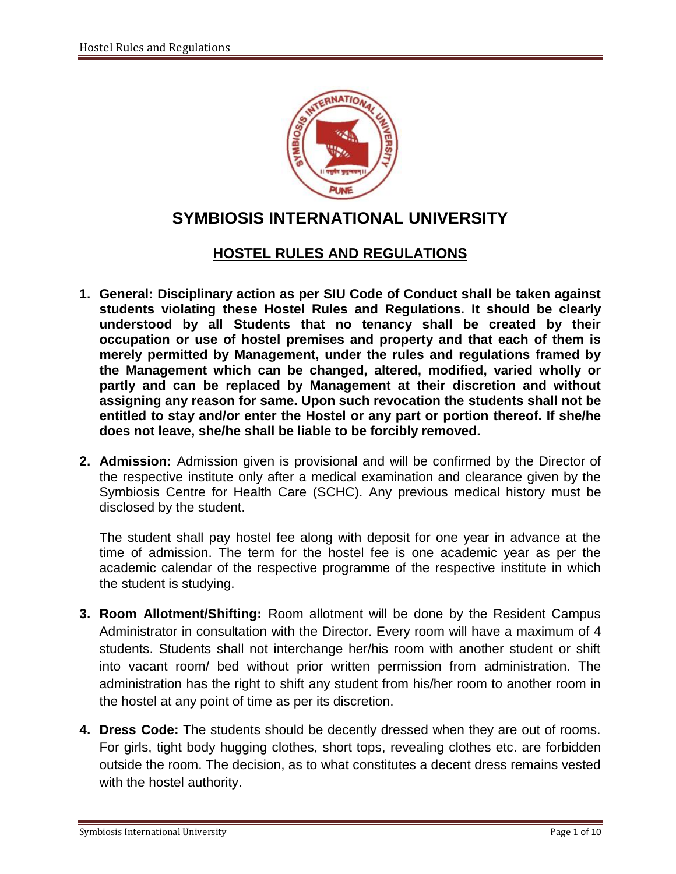

# **SYMBIOSIS INTERNATIONAL UNIVERSITY**

## **HOSTEL RULES AND REGULATIONS**

- **1. General: Disciplinary action as per SIU Code of Conduct shall be taken against students violating these Hostel Rules and Regulations. It should be clearly understood by all Students that no tenancy shall be created by their occupation or use of hostel premises and property and that each of them is merely permitted by Management, under the rules and regulations framed by the Management which can be changed, altered, modified, varied wholly or partly and can be replaced by Management at their discretion and without assigning any reason for same. Upon such revocation the students shall not be entitled to stay and/or enter the Hostel or any part or portion thereof. If she/he does not leave, she/he shall be liable to be forcibly removed.**
- **2. Admission:** Admission given is provisional and will be confirmed by the Director of the respective institute only after a medical examination and clearance given by the Symbiosis Centre for Health Care (SCHC). Any previous medical history must be disclosed by the student.

The student shall pay hostel fee along with deposit for one year in advance at the time of admission. The term for the hostel fee is one academic year as per the academic calendar of the respective programme of the respective institute in which the student is studying.

- **3. Room Allotment/Shifting:** Room allotment will be done by the Resident Campus Administrator in consultation with the Director. Every room will have a maximum of 4 students. Students shall not interchange her/his room with another student or shift into vacant room/ bed without prior written permission from administration. The administration has the right to shift any student from his/her room to another room in the hostel at any point of time as per its discretion.
- **4. Dress Code:** The students should be decently dressed when they are out of rooms. For girls, tight body hugging clothes, short tops, revealing clothes etc. are forbidden outside the room. The decision, as to what constitutes a decent dress remains vested with the hostel authority.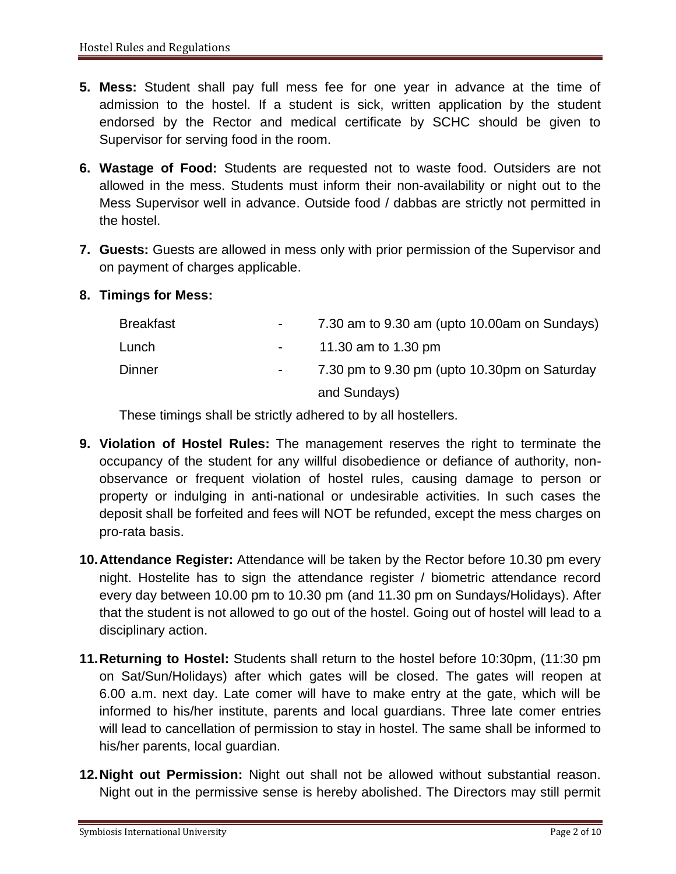- **5. Mess:** Student shall pay full mess fee for one year in advance at the time of admission to the hostel. If a student is sick, written application by the student endorsed by the Rector and medical certificate by SCHC should be given to Supervisor for serving food in the room.
- **6. Wastage of Food:** Students are requested not to waste food. Outsiders are not allowed in the mess. Students must inform their non-availability or night out to the Mess Supervisor well in advance. Outside food / dabbas are strictly not permitted in the hostel.
- **7. Guests:** Guests are allowed in mess only with prior permission of the Supervisor and on payment of charges applicable.
- **8. Timings for Mess:**

| Breakfast | $\sim 100$               | 7.30 am to 9.30 am (upto 10.00 am on Sundays) |
|-----------|--------------------------|-----------------------------------------------|
| Lunch     | <b>Contract Contract</b> | 11.30 am to 1.30 pm                           |
| Dinner    | $\sim 100$               | 7.30 pm to 9.30 pm (upto 10.30pm on Saturday  |
|           |                          | and Sundays)                                  |

These timings shall be strictly adhered to by all hostellers.

- **9. Violation of Hostel Rules:** The management reserves the right to terminate the occupancy of the student for any willful disobedience or defiance of authority, nonobservance or frequent violation of hostel rules, causing damage to person or property or indulging in anti-national or undesirable activities. In such cases the deposit shall be forfeited and fees will NOT be refunded, except the mess charges on pro-rata basis.
- **10.Attendance Register:** Attendance will be taken by the Rector before 10.30 pm every night. Hostelite has to sign the attendance register / biometric attendance record every day between 10.00 pm to 10.30 pm (and 11.30 pm on Sundays/Holidays). After that the student is not allowed to go out of the hostel. Going out of hostel will lead to a disciplinary action.
- **11.Returning to Hostel:** Students shall return to the hostel before 10:30pm, (11:30 pm on Sat/Sun/Holidays) after which gates will be closed. The gates will reopen at 6.00 a.m. next day. Late comer will have to make entry at the gate, which will be informed to his/her institute, parents and local guardians. Three late comer entries will lead to cancellation of permission to stay in hostel. The same shall be informed to his/her parents, local guardian.
- **12.Night out Permission:** Night out shall not be allowed without substantial reason. Night out in the permissive sense is hereby abolished. The Directors may still permit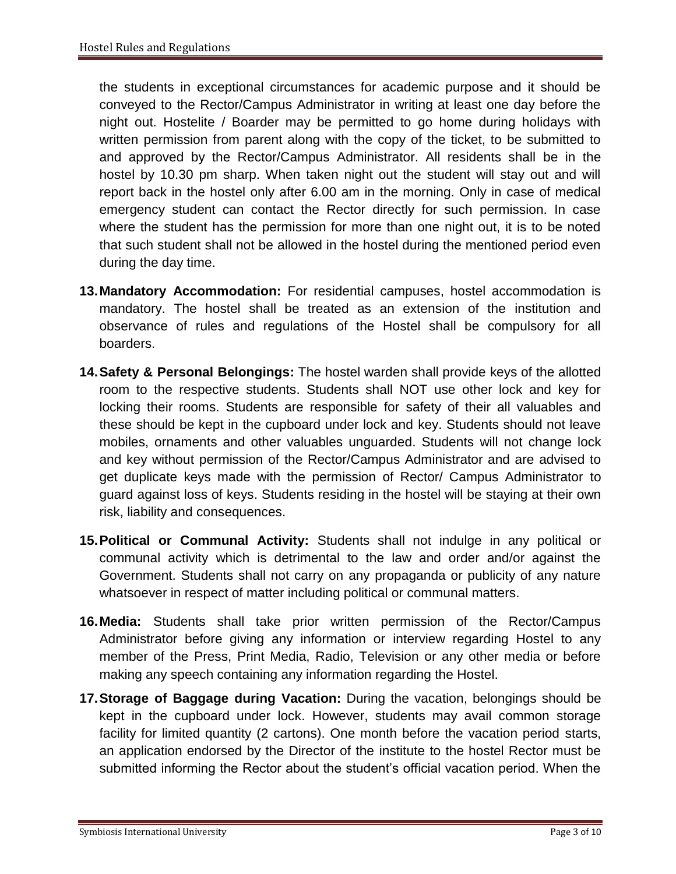the students in exceptional circumstances for academic purpose and it should be conveyed to the Rector/Campus Administrator in writing at least one day before the night out. Hostelite / Boarder may be permitted to go home during holidays with written permission from parent along with the copy of the ticket, to be submitted to and approved by the Rector/Campus Administrator. All residents shall be in the hostel by 10.30 pm sharp. When taken night out the student will stay out and will report back in the hostel only after 6.00 am in the morning. Only in case of medical emergency student can contact the Rector directly for such permission. In case where the student has the permission for more than one night out, it is to be noted that such student shall not be allowed in the hostel during the mentioned period even during the day time.

- **13.Mandatory Accommodation:** For residential campuses, hostel accommodation is mandatory. The hostel shall be treated as an extension of the institution and observance of rules and regulations of the Hostel shall be compulsory for all boarders.
- **14.Safety & Personal Belongings:** The hostel warden shall provide keys of the allotted room to the respective students. Students shall NOT use other lock and key for locking their rooms. Students are responsible for safety of their all valuables and these should be kept in the cupboard under lock and key. Students should not leave mobiles, ornaments and other valuables unguarded. Students will not change lock and key without permission of the Rector/Campus Administrator and are advised to get duplicate keys made with the permission of Rector/ Campus Administrator to guard against loss of keys. Students residing in the hostel will be staying at their own risk, liability and consequences.
- **15.Political or Communal Activity:** Students shall not indulge in any political or communal activity which is detrimental to the law and order and/or against the Government. Students shall not carry on any propaganda or publicity of any nature whatsoever in respect of matter including political or communal matters.
- **16.Media:** Students shall take prior written permission of the Rector/Campus Administrator before giving any information or interview regarding Hostel to any member of the Press, Print Media, Radio, Television or any other media or before making any speech containing any information regarding the Hostel.
- **17.Storage of Baggage during Vacation:** During the vacation, belongings should be kept in the cupboard under lock. However, students may avail common storage facility for limited quantity (2 cartons). One month before the vacation period starts, an application endorsed by the Director of the institute to the hostel Rector must be submitted informing the Rector about the student's official vacation period. When the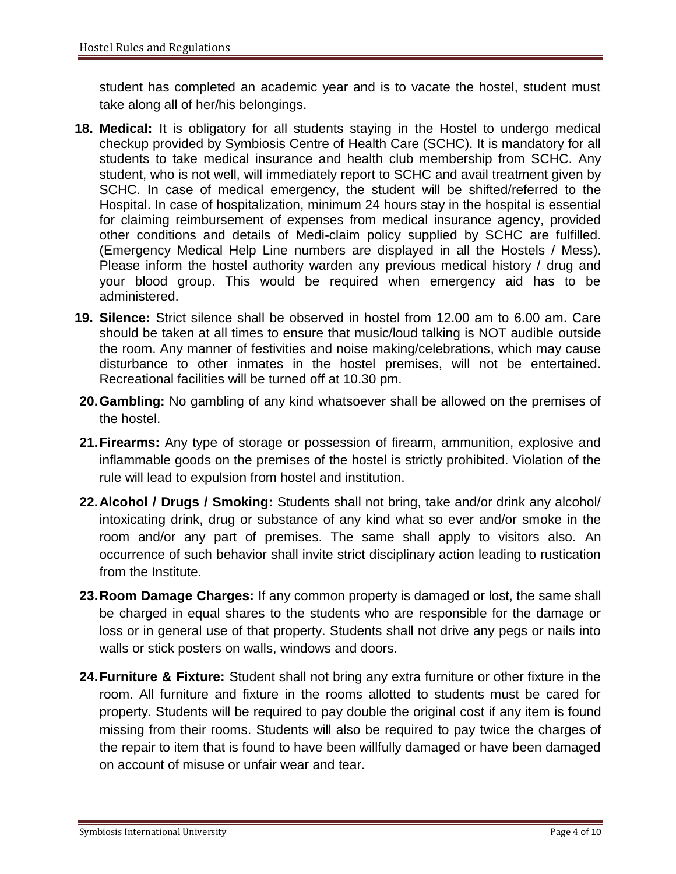student has completed an academic year and is to vacate the hostel, student must take along all of her/his belongings.

- **18. Medical:** It is obligatory for all students staying in the Hostel to undergo medical checkup provided by Symbiosis Centre of Health Care (SCHC). It is mandatory for all students to take medical insurance and health club membership from SCHC. Any student, who is not well, will immediately report to SCHC and avail treatment given by SCHC. In case of medical emergency, the student will be shifted/referred to the Hospital. In case of hospitalization, minimum 24 hours stay in the hospital is essential for claiming reimbursement of expenses from medical insurance agency, provided other conditions and details of Medi-claim policy supplied by SCHC are fulfilled. (Emergency Medical Help Line numbers are displayed in all the Hostels / Mess). Please inform the hostel authority warden any previous medical history / drug and your blood group. This would be required when emergency aid has to be administered.
- **19. Silence:** Strict silence shall be observed in hostel from 12.00 am to 6.00 am. Care should be taken at all times to ensure that music/loud talking is NOT audible outside the room. Any manner of festivities and noise making/celebrations, which may cause disturbance to other inmates in the hostel premises, will not be entertained. Recreational facilities will be turned off at 10.30 pm.
- **20.Gambling:** No gambling of any kind whatsoever shall be allowed on the premises of the hostel.
- **21.Firearms:** Any type of storage or possession of firearm, ammunition, explosive and inflammable goods on the premises of the hostel is strictly prohibited. Violation of the rule will lead to expulsion from hostel and institution.
- **22.Alcohol / Drugs / Smoking:** Students shall not bring, take and/or drink any alcohol/ intoxicating drink, drug or substance of any kind what so ever and/or smoke in the room and/or any part of premises. The same shall apply to visitors also. An occurrence of such behavior shall invite strict disciplinary action leading to rustication from the Institute.
- **23.Room Damage Charges:** If any common property is damaged or lost, the same shall be charged in equal shares to the students who are responsible for the damage or loss or in general use of that property. Students shall not drive any pegs or nails into walls or stick posters on walls, windows and doors.
- **24.Furniture & Fixture:** Student shall not bring any extra furniture or other fixture in the room. All furniture and fixture in the rooms allotted to students must be cared for property. Students will be required to pay double the original cost if any item is found missing from their rooms. Students will also be required to pay twice the charges of the repair to item that is found to have been willfully damaged or have been damaged on account of misuse or unfair wear and tear.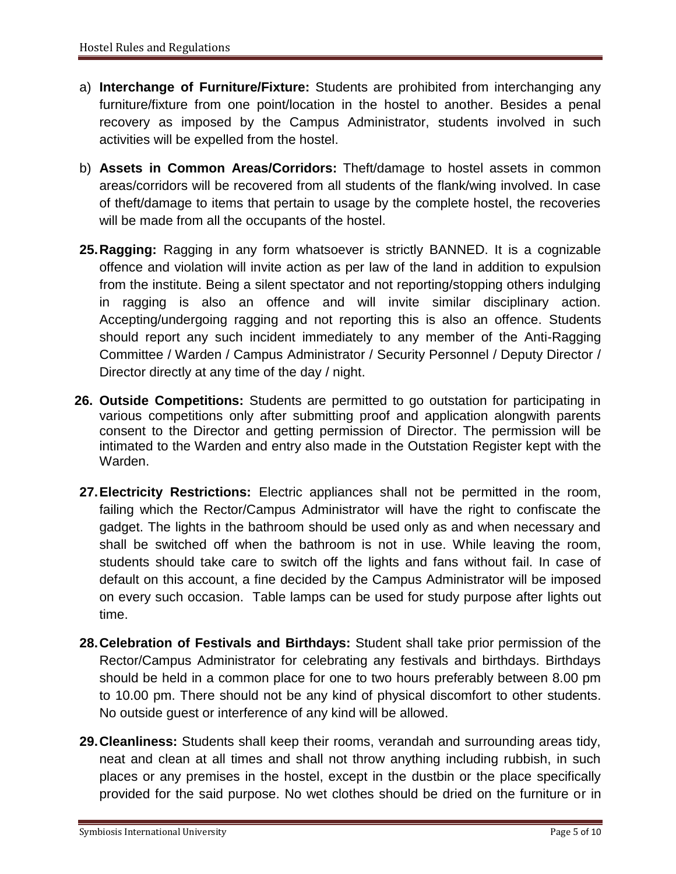- a) **Interchange of Furniture/Fixture:** Students are prohibited from interchanging any furniture/fixture from one point/location in the hostel to another. Besides a penal recovery as imposed by the Campus Administrator, students involved in such activities will be expelled from the hostel.
- b) **Assets in Common Areas/Corridors:** Theft/damage to hostel assets in common areas/corridors will be recovered from all students of the flank/wing involved. In case of theft/damage to items that pertain to usage by the complete hostel, the recoveries will be made from all the occupants of the hostel.
- **25.Ragging:** Ragging in any form whatsoever is strictly BANNED. It is a cognizable offence and violation will invite action as per law of the land in addition to expulsion from the institute. Being a silent spectator and not reporting/stopping others indulging in ragging is also an offence and will invite similar disciplinary action. Accepting/undergoing ragging and not reporting this is also an offence. Students should report any such incident immediately to any member of the Anti-Ragging Committee / Warden / Campus Administrator / Security Personnel / Deputy Director / Director directly at any time of the day / night.
- **26. Outside Competitions:** Students are permitted to go outstation for participating in various competitions only after submitting proof and application alongwith parents consent to the Director and getting permission of Director. The permission will be intimated to the Warden and entry also made in the Outstation Register kept with the Warden.
- **27.Electricity Restrictions:** Electric appliances shall not be permitted in the room, failing which the Rector/Campus Administrator will have the right to confiscate the gadget. The lights in the bathroom should be used only as and when necessary and shall be switched off when the bathroom is not in use. While leaving the room, students should take care to switch off the lights and fans without fail. In case of default on this account, a fine decided by the Campus Administrator will be imposed on every such occasion. Table lamps can be used for study purpose after lights out time.
- **28.Celebration of Festivals and Birthdays:** Student shall take prior permission of the Rector/Campus Administrator for celebrating any festivals and birthdays. Birthdays should be held in a common place for one to two hours preferably between 8.00 pm to 10.00 pm. There should not be any kind of physical discomfort to other students. No outside guest or interference of any kind will be allowed.
- **29.Cleanliness:** Students shall keep their rooms, verandah and surrounding areas tidy, neat and clean at all times and shall not throw anything including rubbish, in such places or any premises in the hostel, except in the dustbin or the place specifically provided for the said purpose. No wet clothes should be dried on the furniture or in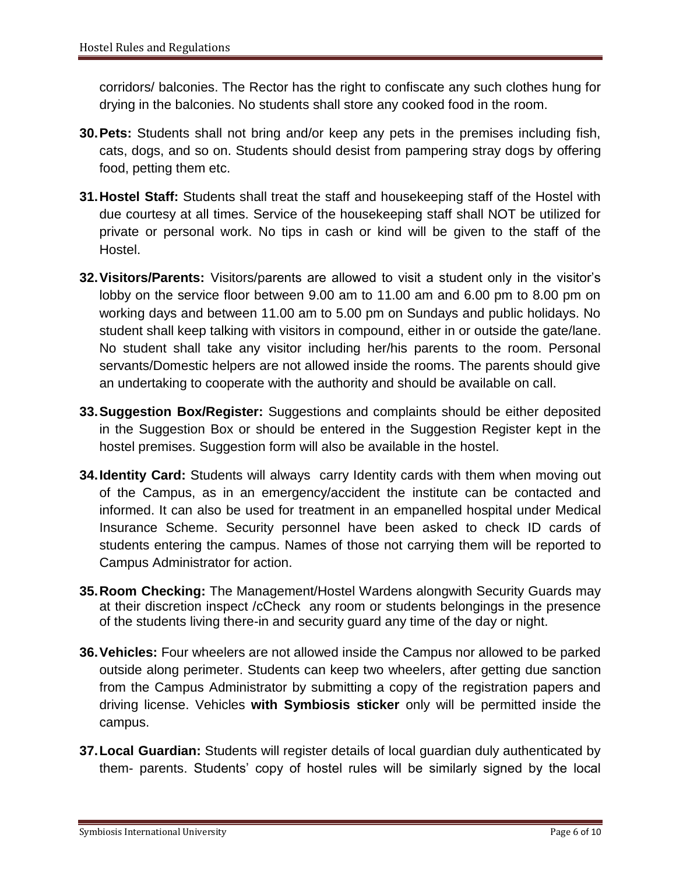corridors/ balconies. The Rector has the right to confiscate any such clothes hung for drying in the balconies. No students shall store any cooked food in the room.

- **30.Pets:** Students shall not bring and/or keep any pets in the premises including fish, cats, dogs, and so on. Students should desist from pampering stray dogs by offering food, petting them etc.
- **31.Hostel Staff:** Students shall treat the staff and housekeeping staff of the Hostel with due courtesy at all times. Service of the housekeeping staff shall NOT be utilized for private or personal work. No tips in cash or kind will be given to the staff of the Hostel.
- **32.Visitors/Parents:** Visitors/parents are allowed to visit a student only in the visitor's lobby on the service floor between 9.00 am to 11.00 am and 6.00 pm to 8.00 pm on working days and between 11.00 am to 5.00 pm on Sundays and public holidays. No student shall keep talking with visitors in compound, either in or outside the gate/lane. No student shall take any visitor including her/his parents to the room. Personal servants/Domestic helpers are not allowed inside the rooms. The parents should give an undertaking to cooperate with the authority and should be available on call.
- **33.Suggestion Box/Register:** Suggestions and complaints should be either deposited in the Suggestion Box or should be entered in the Suggestion Register kept in the hostel premises. Suggestion form will also be available in the hostel.
- **34.Identity Card:** Students will always carry Identity cards with them when moving out of the Campus, as in an emergency/accident the institute can be contacted and informed. It can also be used for treatment in an empanelled hospital under Medical Insurance Scheme. Security personnel have been asked to check ID cards of students entering the campus. Names of those not carrying them will be reported to Campus Administrator for action.
- **35.Room Checking:** The Management/Hostel Wardens alongwith Security Guards may at their discretion inspect /cCheck any room or students belongings in the presence of the students living there-in and security guard any time of the day or night.
- **36.Vehicles:** Four wheelers are not allowed inside the Campus nor allowed to be parked outside along perimeter. Students can keep two wheelers, after getting due sanction from the Campus Administrator by submitting a copy of the registration papers and driving license. Vehicles **with Symbiosis sticker** only will be permitted inside the campus.
- **37.Local Guardian:** Students will register details of local guardian duly authenticated by them- parents. Students' copy of hostel rules will be similarly signed by the local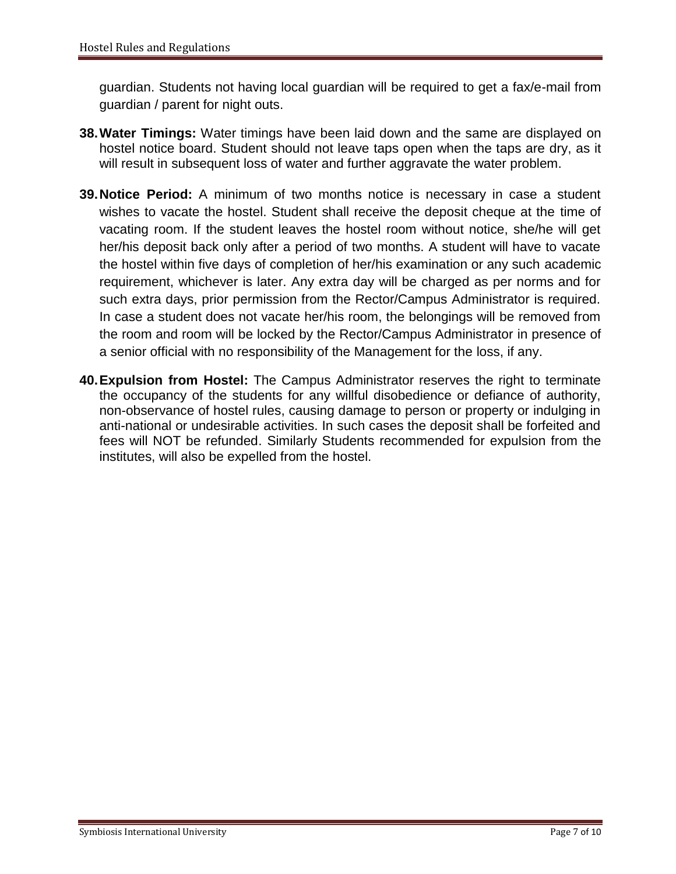guardian. Students not having local guardian will be required to get a fax/e-mail from guardian / parent for night outs.

- **38.Water Timings:** Water timings have been laid down and the same are displayed on hostel notice board. Student should not leave taps open when the taps are dry, as it will result in subsequent loss of water and further aggravate the water problem.
- **39.Notice Period:** A minimum of two months notice is necessary in case a student wishes to vacate the hostel. Student shall receive the deposit cheque at the time of vacating room. If the student leaves the hostel room without notice, she/he will get her/his deposit back only after a period of two months. A student will have to vacate the hostel within five days of completion of her/his examination or any such academic requirement, whichever is later. Any extra day will be charged as per norms and for such extra days, prior permission from the Rector/Campus Administrator is required. In case a student does not vacate her/his room, the belongings will be removed from the room and room will be locked by the Rector/Campus Administrator in presence of a senior official with no responsibility of the Management for the loss, if any.
- **40.Expulsion from Hostel:** The Campus Administrator reserves the right to terminate the occupancy of the students for any willful disobedience or defiance of authority, non-observance of hostel rules, causing damage to person or property or indulging in anti-national or undesirable activities. In such cases the deposit shall be forfeited and fees will NOT be refunded. Similarly Students recommended for expulsion from the institutes, will also be expelled from the hostel.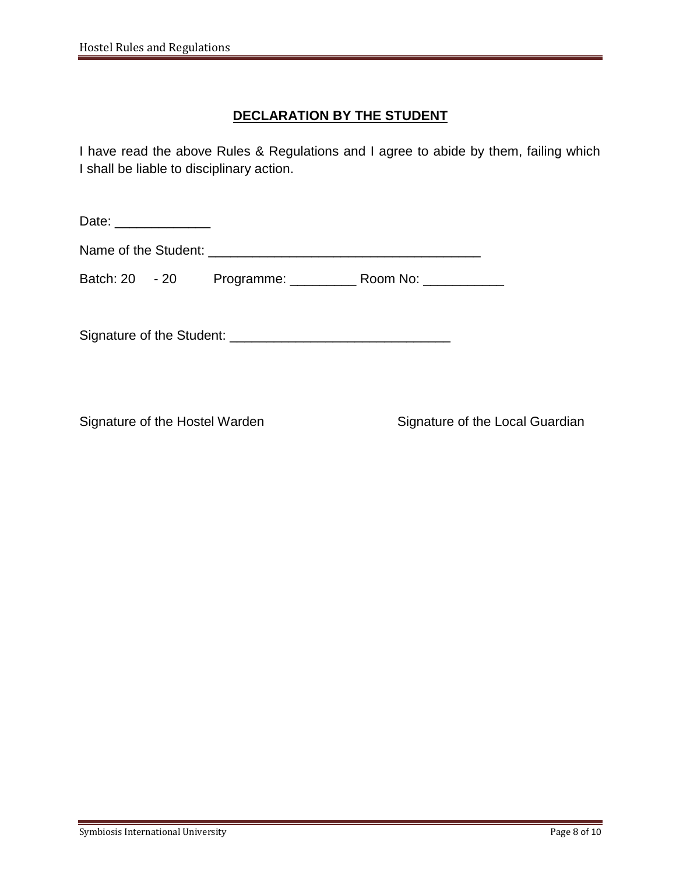### **DECLARATION BY THE STUDENT**

I have read the above Rules & Regulations and I agree to abide by them, failing which I shall be liable to disciplinary action.

Date: \_\_\_\_\_\_\_\_\_\_\_\_\_\_\_\_ Name of the Student: \_\_\_\_\_\_\_\_\_\_\_\_\_\_\_\_\_\_\_\_\_\_\_\_\_\_\_\_\_\_\_\_\_\_\_\_\_

Batch: 20 - 20 Programme: \_\_\_\_\_\_\_\_\_ Room No: \_\_\_\_\_\_\_\_\_\_\_

Signature of the Student: \_\_\_\_\_\_\_\_\_\_\_\_\_\_\_\_\_\_\_\_\_\_\_\_\_\_\_\_\_\_

Signature of the Hostel Warden Signature of the Local Guardian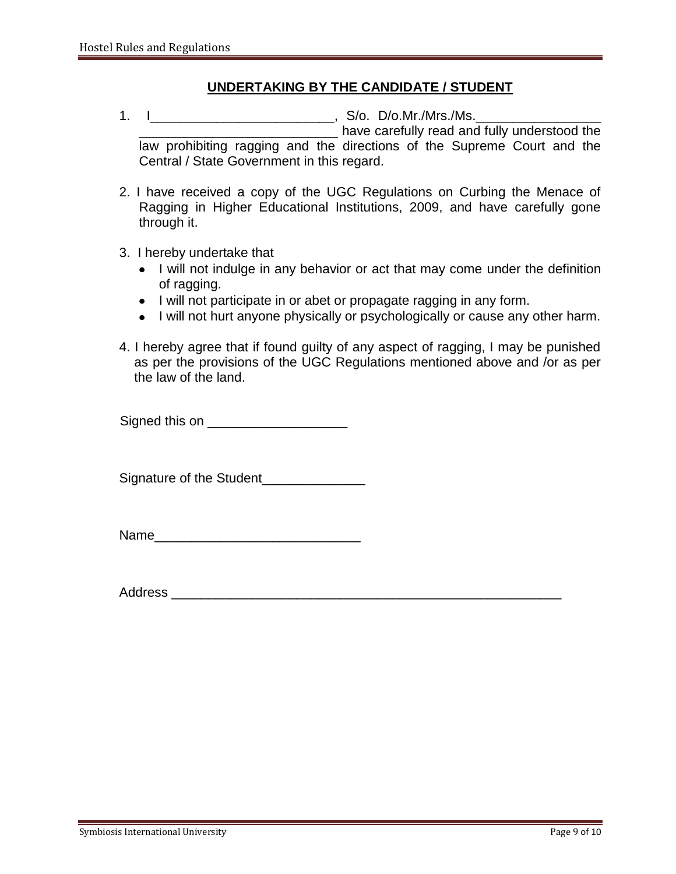#### **UNDERTAKING BY THE CANDIDATE / STUDENT**

- 1. I\_\_\_\_\_\_\_\_\_\_\_\_\_\_\_\_\_\_\_\_\_\_\_\_\_, S/o. D/o.Mr./Mrs./Ms.\_\_\_\_\_\_\_\_\_\_\_\_\_\_\_\_\_ \_\_\_\_\_\_\_\_\_\_\_\_\_\_\_\_\_\_\_\_\_\_\_\_\_\_\_ have carefully read and fully understood the law prohibiting ragging and the directions of the Supreme Court and the Central / State Government in this regard.
- 2. I have received a copy of the UGC Regulations on Curbing the Menace of Ragging in Higher Educational Institutions, 2009, and have carefully gone through it.
- 3. I hereby undertake that
	- I will not indulge in any behavior or act that may come under the definition of ragging.
	- I will not participate in or abet or propagate ragging in any form.
	- I will not hurt anyone physically or psychologically or cause any other harm.
- 4. I hereby agree that if found guilty of any aspect of ragging, I may be punished as per the provisions of the UGC Regulations mentioned above and /or as per the law of the land.

Signed this on **Example 20** 

Signature of the Student\_\_\_\_\_\_\_\_\_\_\_\_\_\_

Name\_\_\_\_\_\_\_\_\_\_\_\_\_\_\_\_\_\_\_\_\_\_\_\_\_\_\_\_

Address \_\_\_\_\_\_\_\_\_\_\_\_\_\_\_\_\_\_\_\_\_\_\_\_\_\_\_\_\_\_\_\_\_\_\_\_\_\_\_\_\_\_\_\_\_\_\_\_\_\_\_\_\_